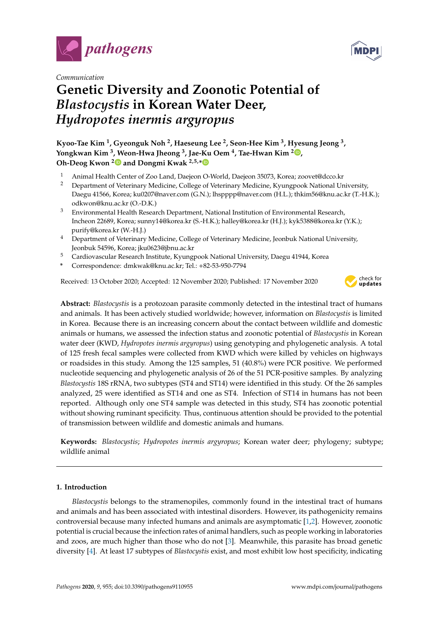



# **Genetic Diversity and Zoonotic Potential of** *Blastocystis* **in Korean Water Deer,** *Hydropotes inermis argyropus*

**Kyoo-Tae Kim <sup>1</sup> , Gyeonguk Noh <sup>2</sup> , Haeseung Lee <sup>2</sup> , Seon-Hee Kim <sup>3</sup> , Hyesung Jeong <sup>3</sup> , Yongkwan Kim <sup>3</sup> , Weon-Hwa Jheong <sup>3</sup> , Jae-Ku Oem <sup>4</sup> , Tae-Hwan Kim <sup>2</sup> [,](https://orcid.org/0000-0002-6937-0646) Oh-Deog Kwon [2](https://orcid.org/0000-0001-8752-607X) and Dongmi Kwak 2,5,[\\*](https://orcid.org/0000-0003-0876-3179)**

- <sup>1</sup> Animal Health Center of Zoo Land, Daejeon O-World, Daejeon 35073, Korea; zoovet@dcco.kr<br><sup>2</sup> Department of Veterinary Medicine, College of Veterinary Medicine, Kyungpoek National Ur
- <sup>2</sup> Department of Veterinary Medicine, College of Veterinary Medicine, Kyungpook National University, Daegu 41566, Korea; ku0207@naver.com (G.N.); lhspppp@naver.com (H.L.); thkim56@knu.ac.kr (T.-H.K.); odkwon@knu.ac.kr (O.-D.K.)
- <sup>3</sup> Environmental Health Research Department, National Institution of Environmental Research, Incheon 22689, Korea; sunny14@korea.kr (S.-H.K.); halley@korea.kr (H.J.); kyk5388@korea.kr (Y.K.); purify@korea.kr (W.-H.J.)
- <sup>4</sup> Department of Veterinary Medicine, College of Veterinary Medicine, Jeonbuk National University, Jeonbuk 54596, Korea; jku0623@jbnu.ac.kr
- <sup>5</sup> Cardiovascular Research Institute, Kyungpook National University, Daegu 41944, Korea
- **\*** Correspondence: dmkwak@knu.ac.kr; Tel.: +82-53-950-7794

Received: 13 October 2020; Accepted: 12 November 2020; Published: 17 November 2020



**Abstract:** *Blastocystis* is a protozoan parasite commonly detected in the intestinal tract of humans and animals. It has been actively studied worldwide; however, information on *Blastocystis* is limited in Korea. Because there is an increasing concern about the contact between wildlife and domestic animals or humans, we assessed the infection status and zoonotic potential of *Blastocystis* in Korean water deer (KWD, *Hydropotes inermis argyropus*) using genotyping and phylogenetic analysis. A total of 125 fresh fecal samples were collected from KWD which were killed by vehicles on highways or roadsides in this study. Among the 125 samples, 51 (40.8%) were PCR positive. We performed nucleotide sequencing and phylogenetic analysis of 26 of the 51 PCR-positive samples. By analyzing *Blastocystis* 18S rRNA, two subtypes (ST4 and ST14) were identified in this study. Of the 26 samples analyzed, 25 were identified as ST14 and one as ST4. Infection of ST14 in humans has not been reported. Although only one ST4 sample was detected in this study, ST4 has zoonotic potential without showing ruminant specificity. Thus, continuous attention should be provided to the potential of transmission between wildlife and domestic animals and humans.

**Keywords:** *Blastocystis*; *Hydropotes inermis argyropus*; Korean water deer; phylogeny; subtype; wildlife animal

# **1. Introduction**

*Blastocystis* belongs to the stramenopiles, commonly found in the intestinal tract of humans and animals and has been associated with intestinal disorders. However, its pathogenicity remains controversial because many infected humans and animals are asymptomatic [\[1](#page-5-0)[,2\]](#page-5-1). However, zoonotic potential is crucial because the infection rates of animal handlers, such as people working in laboratories and zoos, are much higher than those who do not [\[3\]](#page-5-2). Meanwhile, this parasite has broad genetic diversity [\[4\]](#page-5-3). At least 17 subtypes of *Blastocystis* exist, and most exhibit low host specificity, indicating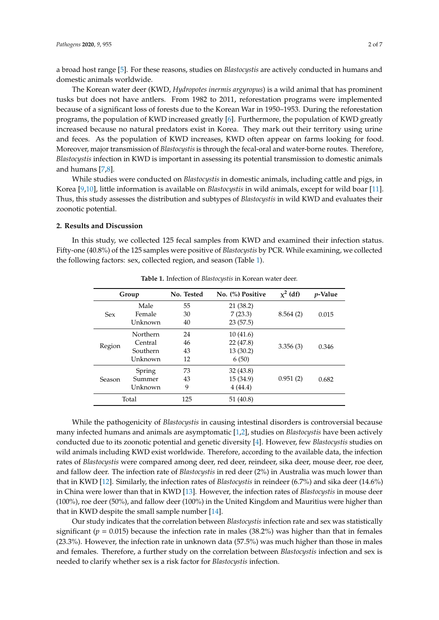a broad host range [\[5\]](#page-5-4). For these reasons, studies on *Blastocystis* are actively conducted in humans and domestic animals worldwide.

The Korean water deer (KWD, *Hydropotes inermis argyropus*) is a wild animal that has prominent tusks but does not have antlers. From 1982 to 2011, reforestation programs were implemented because of a significant loss of forests due to the Korean War in 1950–1953. During the reforestation programs, the population of KWD increased greatly [\[6\]](#page-5-5). Furthermore, the population of KWD greatly increased because no natural predators exist in Korea. They mark out their territory using urine and feces. As the population of KWD increases, KWD often appear on farms looking for food. Moreover, major transmission of *Blastocystis* is through the fecal-oral and water-borne routes. Therefore, *Blastocystis* infection in KWD is important in assessing its potential transmission to domestic animals and humans [\[7](#page-5-6)[,8\]](#page-5-7).

While studies were conducted on *Blastocystis* in domestic animals, including cattle and pigs, in Korea [\[9](#page-5-8)[,10\]](#page-5-9), little information is available on *Blastocystis* in wild animals, except for wild boar [\[11\]](#page-5-10). Thus, this study assesses the distribution and subtypes of *Blastocystis* in wild KWD and evaluates their zoonotic potential.

#### **2. Results and Discussion**

<span id="page-1-0"></span>In this study, we collected 125 fecal samples from KWD and examined their infection status. Fifty-one (40.8%) of the 125 samples were positive of *Blastocystis* by PCR. While examining, we collected the following factors: sex, collected region, and season (Table [1\)](#page-1-0).

| Group      |          | No. Tested | No. (%) Positive | $\chi^2$ (df) | <i>p</i> -Value |
|------------|----------|------------|------------------|---------------|-----------------|
| <b>Sex</b> | Male     | 55         | 21 (38.2)        |               |                 |
|            | Female   | 30         | 7(23.3)          | 8.564(2)      | 0.015           |
|            | Unknown  | 40         | 23(57.5)         |               |                 |
| Region     | Northern | 24         | 10(41.6)         | 3.356(3)      | 0.346           |
|            | Central  | 46         | 22 (47.8)        |               |                 |
|            | Southern | 43         | 13(30.2)         |               |                 |
|            | Unknown  | 12         | 6(50)            |               |                 |
| Season     | Spring   | 73         | 32(43.8)         |               |                 |
|            | Summer   | 43         | 15 (34.9)        | 0.951(2)      | 0.682           |
|            | Unknown  | 9          | 4(44.4)          |               |                 |
| Total      |          | 125        | 51 (40.8)        |               |                 |

**Table 1.** Infection of *Blastocystis* in Korean water deer.

While the pathogenicity of *Blastocystis* in causing intestinal disorders is controversial because many infected humans and animals are asymptomatic [\[1](#page-5-0)[,2\]](#page-5-1), studies on *Blastocystis* have been actively conducted due to its zoonotic potential and genetic diversity [\[4\]](#page-5-3). However, few *Blastocystis* studies on wild animals including KWD exist worldwide. Therefore, according to the available data, the infection rates of *Blastocystis* were compared among deer, red deer, reindeer, sika deer, mouse deer, roe deer, and fallow deer. The infection rate of *Blastocystis* in red deer (2%) in Australia was much lower than that in KWD [\[12\]](#page-5-11). Similarly, the infection rates of *Blastocystis* in reindeer (6.7%) and sika deer (14.6%) in China were lower than that in KWD [\[13\]](#page-5-12). However, the infection rates of *Blastocystis* in mouse deer (100%), roe deer (50%), and fallow deer (100%) in the United Kingdom and Mauritius were higher than that in KWD despite the small sample number [\[14\]](#page-5-13).

Our study indicates that the correlation between *Blastocystis* infection rate and sex was statistically significant ( $p = 0.015$ ) because the infection rate in males (38.2%) was higher than that in females (23.3%). However, the infection rate in unknown data (57.5%) was much higher than those in males and females. Therefore, a further study on the correlation between *Blastocystis* infection and sex is needed to clarify whether sex is a risk factor for *Blastocystis* infection.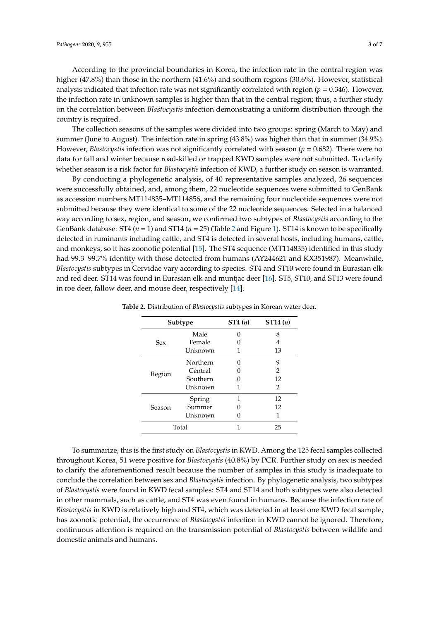According to the provincial boundaries in Korea, the infection rate in the central region was higher (47.8%) than those in the northern (41.6%) and southern regions (30.6%). However, statistical analysis indicated that infection rate was not significantly correlated with region  $(p = 0.346)$ . However, the infection rate in unknown samples is higher than that in the central region; thus, a further study on the correlation between *Blastocystis* infection demonstrating a uniform distribution through the country is required.

The collection seasons of the samples were divided into two groups: spring (March to May) and summer (June to August). The infection rate in spring (43.8%) was higher than that in summer (34.9%). However, *Blastocystis* infection was not significantly correlated with season (*p* = 0.682). There were no data for fall and winter because road-killed or trapped KWD samples were not submitted. To clarify whether season is a risk factor for *Blastocystis* infection of KWD, a further study on season is warranted.

By conducting a phylogenetic analysis, of 40 representative samples analyzed, 26 sequences were successfully obtained, and, among them, 22 nucleotide sequences were submitted to GenBank as accession numbers MT114835–MT114856, and the remaining four nucleotide sequences were not submitted because they were identical to some of the 22 nucleotide sequences. Selected in a balanced way according to sex, region, and season, we confirmed two subtypes of *Blastocystis* according to the GenBank database: ST4 (*n* = 1) and ST14 (*n* = 25) (Table [2](#page-2-0) and Figure [1\)](#page-3-0). ST14 is known to be specifically detected in ruminants including cattle, and ST4 is detected in several hosts, including humans, cattle, and monkeys, so it has zoonotic potential [\[15\]](#page-5-14). The ST4 sequence (MT114835) identified in this study had 99.3–99.7% identity with those detected from humans (AY244621 and KX351987). Meanwhile, *Blastocystis* subtypes in Cervidae vary according to species. ST4 and ST10 were found in Eurasian elk and red deer. ST14 was found in Eurasian elk and muntjac deer [\[16\]](#page-5-15). ST5, ST10, and ST13 were found in roe deer, fallow deer, and mouse deer, respectively [\[14\]](#page-5-13).

|            | Subtype  | ST4(n) | ST14(n)       |
|------------|----------|--------|---------------|
|            | Male     |        | 8             |
| <b>Sex</b> | Female   |        | 4             |
|            | Unknown  |        | 13            |
|            | Northern |        | 9             |
| Region     | Central  |        | 2             |
|            | Southern |        | 12            |
|            | Unknown  |        | $\mathcal{L}$ |
|            | Spring   |        | 12            |
| Season     | Summer   |        | 12            |
|            | Unknown  |        |               |
|            | Total    |        | 25            |

<span id="page-2-0"></span>**Table 2.** Distribution of *Blastocystis* subtypes in Korean water deer.

To summarize, this is the first study on *Blastocystis* in KWD. Among the 125 fecal samples collected throughout Korea, 51 were positive for *Blastocystis* (40.8%) by PCR. Further study on sex is needed to clarify the aforementioned result because the number of samples in this study is inadequate to conclude the correlation between sex and *Blastocystis* infection. By phylogenetic analysis, two subtypes of *Blastocystis* were found in KWD fecal samples: ST4 and ST14 and both subtypes were also detected in other mammals, such as cattle, and ST4 was even found in humans. Because the infection rate of *Blastocystis* in KWD is relatively high and ST4, which was detected in at least one KWD fecal sample, has zoonotic potential, the occurrence of *Blastocystis* infection in KWD cannot be ignored. Therefore, continuous attention is required on the transmission potential of *Blastocystis* between wildlife and domestic animals and humans.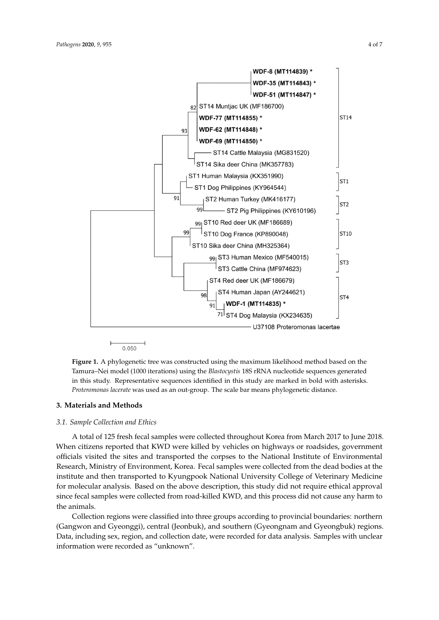<span id="page-3-0"></span>

**Figure 1.** A phylogenetic tree was constructed using the maximum likelihood method based on the  $\overline{a}$ Tamura–Nei model (1000 iterations) using the *Blastocystis* 18S rRNA nucleotide sequences generated in this study. Representative sequences identified in this study are marked in bold with asterisks. *Proteromonas lacerate* was used as an out-group. The scale bar means phylogenetic distance. *Proteromonas lacerate* was used as an out-group. The scale bar means phylogenetic distance. Tamura–Nei model (1000 iterations) using the *Blastocystis* 18S rRNA nucleotide sequences generated

## **3. Materials and Methods**

# To summarize, this is the first study on *Blastocystis* in KWD. Among the 125 fecal samples *3.1. Sample Collection and Ethics* collected throughout Korea, 51 were positive for *Blastocystis* (40.8%) by PCR. Further study on sex is

A total of 125 fresh fecal samples were collected throughout Korea from March 2017 to June 2018. When citizens reported that KWD were killed by vehicles on highways or roadsides, government officials visited the sites and transported the corpses to the National Institute of Environmental<br>Property of Environmental Research, Ministry of Environment, Korea. Fecal samples were collected from the dead bodies at the<br>institute and then tunguseted to Kausemaak Mational University Callage of Vaterinamy Madisine for molecular analysis. Based on the above description, this study did not require ethical approval since fecal samples were collected from road-killed KWD, and this process did not cause any harm to Therefore, continuous attention is required on the transmission potential of *Blastocystis* between institute and then transported to Kyungpook National University College of Veterinary Medicine the animals.

Collection regions were classified into three groups according to provincial boundaries: northern Data, including sex, region, and collection date, were recorded for data analysis. Samples with unclear (Gangwon and Gyeonggi), central (Jeonbuk), and southern (Gyeongnam and Gyeongbuk) regions. information were recorded as "unknown".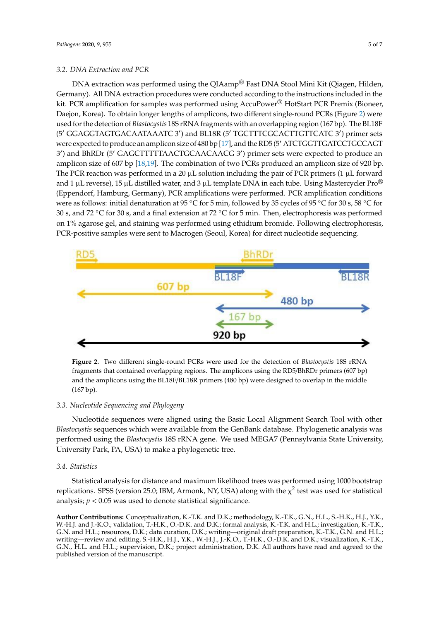DNA extraction was performed using the QIAamp® Fast DNA Stool Mini Kit (Qiagen, Hilden, DNA extraction was performed using the QIAamp® Fast DNA Stool Mini Kit (Qiagen, Hilden, Germany). All DNA extraction procedures were conducted according to the instructions included in the Germany). All DNA extraction procedures were conducted according to the instructions included in kit. PCR amplification for samples was performed using AccuPower<sup>®</sup> HotStart PCR Premix (Bioneer, Daejon, Korea). To obtain longer lengths of amplicons, two different single-round PCRs (Figure [2\)](#page-4-0) were used for the detection of *Blastocystis* 18S rRNA fragments with an overlapping region (167 bp). The BL18F (5' GGAGGTAGTGACAATAAATC 3') and BL18R (5' TGCTTTCGCACTTGTTCATC 3') primer sets were expected to produce an amplicon size of 480 bp [\[17\]](#page-5-16), and the RD5 (5' ATCTGGTTGATCCTGCCAGT 3') and BhRDr (5' GAGCTTTTTAACTGCAACAACG 3') primer sets were expected to produce an amplicon size of 607 bp [\[18](#page-6-0)[,19\]](#page-6-1). The combination of two PCRs produced an amplicon size of 920 bp. The PCR reaction was performed in a 20  $\mu$ L solution including the pair of PCR primers (1  $\mu$ L forward and 1 µL reverse), 15 µL distilled water, and 3 µL template DNA in each tube. Using Mastercycler  $\mathrm{Pro}^{\circledR}$ (Eppendorf, Hamburg, Germany), PCR amplifications were performed. PCR amplification conditions were as follows: initial denaturation at 95 °C for 5 min, followed by 35 cycles of 95 °C for 30 s, 58 °C for 30 s, and 72 °C for 30 s, and a final extension at 72 °C for 5 min. Then, electrophoresis was performed on 1% agarose gel, and staining was performed using ethidium bromide. Following electrophoresis, PCR-positive samples were sent to Macrogen (Seoul, Korea) for direct nucleotide sequencing.

<span id="page-4-0"></span>

**Figure 2.** Two different single-round PCRs were used for the detection of *Blastocystis* 18S rRNA **Figure 2.** Two different single-round PCRs were used for the detection of *Blastocystis* 18S rRNA fragments that contained overlapping regions. The amplicons using the RD5/BhRDr primers (607 bp) fragments that contained overlapping regions. The amplicons using the RD5/BhRDr primers (607 bp) and the amplicons using the BL18F/BL18R primers (480 bp) were designed to overlap in the middle and the amplicons using the BL18F/BL18R primers (480 bp) were designed to overlap in the middle (167 bp). (167 bp).

# *3.3. Nucleotide Sequencing and Phylogeny 3.3. Nucleotide Sequencing and Phylogeny*

Nucleotide sequences were aligned using the Basic Local Alignment Search Tool with other *Blastocystis* sequences which were available from the GenBank database. Phylogenetic analysis was *Blastocystis* sequences which were available from the GenBank database. Phylogenetic analysis was performed using the *Blastocystis* 18S rRNA gene. We used MEGA7 (Pennsylvania State University, performed using the *Blastocystis* 18S rRNA gene. We used MEGA7 (Pennsylvania State University, University Park, PA, USA) to make a phylogenetic tree. University Park, PA, USA) to make a phylogenetic tree. Nucleotide sequences were aligned using the Basic Local Alignment Search Tool with other

### *3.4. Statistics*

replications. SPSS (version 25.0; IBM, Armonk, NY, USA) along with the  $\chi^2$  test was used for statistical analysis;  $p < 0.05$  was used to denote statistical significance. for statistical analysis; *p* < 0.05 was used to denote statistical significance. Statistical analysis for distance and maximum likelihood trees was performed using 1000 bootstrap

**Author Contributions:** Conceptualization, K.-T.K. and D.K.; methodology, K.-T.K., G.N., H.L., S.-H.K., H.J., Y.K., W.-H.J. and J.-K.O.; validation, T.-H.K., O.-D.K. and D.K.; formal analysis, K.-T.K. and H.L.; investigation, K.-T.K., G.N. and H.L.; resources, D.K.; data curation, D.K.; writing—original draft preparation, K.-T.K., G.N. and H.L.; writing—review and editing, S.-H.K., H.J., Y.K., W.-H.J., J.-K.O., T.-H.K., O.-D.K. and D.K.; visualization, K.-T.K., G.N., H.L. and H.L.; supervision, D.K.; project administration, D.K. All authors have read and agreed to the published version of the manuscript.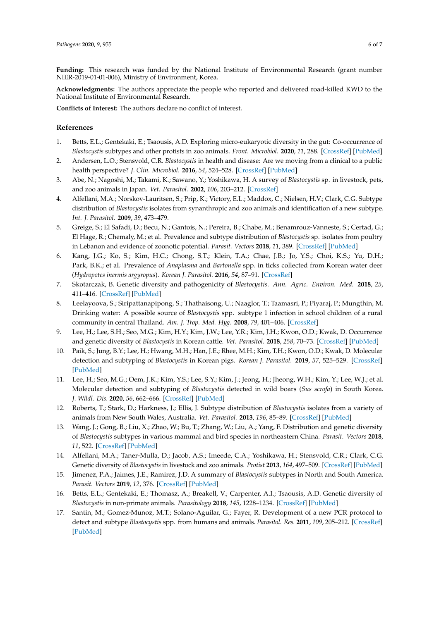**Funding:** This research was funded by the National Institute of Environmental Research (grant number NIER-2019-01-01-006), Ministry of Environment, Korea.

**Acknowledgments:** The authors appreciate the people who reported and delivered road-killed KWD to the National Institute of Environmental Research.

**Conflicts of Interest:** The authors declare no conflict of interest.

# **References**

- <span id="page-5-0"></span>1. Betts, E.L.; Gentekaki, E.; Tsaousis, A.D. Exploring micro-eukaryotic diversity in the gut: Co-occurrence of *Blastocystis* subtypes and other protists in zoo animals. *Front. Microbiol.* **2020**, *11*, 288. [\[CrossRef\]](http://dx.doi.org/10.3389/fmicb.2020.00288) [\[PubMed\]](http://www.ncbi.nlm.nih.gov/pubmed/32161577)
- <span id="page-5-1"></span>2. Andersen, L.O.; Stensvold, C.R. *Blastocystis* in health and disease: Are we moving from a clinical to a public health perspective? *J. Clin. Microbiol.* **2016**, *54*, 524–528. [\[CrossRef\]](http://dx.doi.org/10.1128/JCM.02520-15) [\[PubMed\]](http://www.ncbi.nlm.nih.gov/pubmed/26677249)
- <span id="page-5-2"></span>3. Abe, N.; Nagoshi, M.; Takami, K.; Sawano, Y.; Yoshikawa, H. A survey of *Blastocystis* sp. in livestock, pets, and zoo animals in Japan. *Vet. Parasitol.* **2002**, *106*, 203–212. [\[CrossRef\]](http://dx.doi.org/10.1016/S0304-4017(02)00050-X)
- <span id="page-5-3"></span>4. Alfellani, M.A.; Norskov-Lauritsen, S.; Prip, K.; Victory, E.L.; Maddox, C.; Nielsen, H.V.; Clark, C.G. Subtype distribution of *Blastocystis* isolates from synanthropic and zoo animals and identification of a new subtype. *Int. J. Parasitol.* **2009**, *39*, 473–479.
- <span id="page-5-4"></span>5. Greige, S.; El Safadi, D.; Becu, N.; Gantois, N.; Pereira, B.; Chabe, M.; Benamrouz-Vanneste, S.; Certad, G.; El Hage, R.; Chemaly, M.; et al. Prevalence and subtype distribution of *Blastocystis* sp. isolates from poultry in Lebanon and evidence of zoonotic potential. *Parasit. Vectors* **2018**, *11*, 389. [\[CrossRef\]](http://dx.doi.org/10.1186/s13071-018-2975-5) [\[PubMed\]](http://www.ncbi.nlm.nih.gov/pubmed/29973261)
- <span id="page-5-5"></span>6. Kang, J.G.; Ko, S.; Kim, H.C.; Chong, S.T.; Klein, T.A.; Chae, J.B.; Jo, Y.S.; Choi, K.S.; Yu, D.H.; Park, B.K.; et al. Prevalence of *Anaplasma* and *Bartonella* spp. in ticks collected from Korean water deer (*Hydropotes inermis argyropus*). *Korean J. Parasitol.* **2016**, *54*, 87–91. [\[CrossRef\]](http://dx.doi.org/10.3347/kjp.2016.54.1.87)
- <span id="page-5-6"></span>7. Skotarczak, B. Genetic diversity and pathogenicity of *Blastocystis*. *Ann. Agric. Environ. Med.* **2018**, *25*, 411–416. [\[CrossRef\]](http://dx.doi.org/10.26444/aaem/81315) [\[PubMed\]](http://www.ncbi.nlm.nih.gov/pubmed/30260199)
- <span id="page-5-7"></span>8. Leelayoova, S.; Siripattanapipong, S.; Thathaisong, U.; Naaglor, T.; Taamasri, P.; Piyaraj, P.; Mungthin, M. Drinking water: A possible source of *Blastocystis* spp. subtype 1 infection in school children of a rural community in central Thailand. *Am. J. Trop. Med. Hyg.* **2008**, *79*, 401–406. [\[CrossRef\]](http://dx.doi.org/10.4269/ajtmh.2008.79.401)
- <span id="page-5-8"></span>9. Lee, H.; Lee, S.H.; Seo, M.G.; Kim, H.Y.; Kim, J.W.; Lee, Y.R.; Kim, J.H.; Kwon, O.D.; Kwak, D. Occurrence and genetic diversity of *Blastocystis* in Korean cattle. *Vet. Parasitol.* **2018**, *258*, 70–73. [\[CrossRef\]](http://dx.doi.org/10.1016/j.vetpar.2018.06.010) [\[PubMed\]](http://www.ncbi.nlm.nih.gov/pubmed/30105981)
- <span id="page-5-9"></span>10. Paik, S.; Jung, B.Y.; Lee, H.; Hwang, M.H.; Han, J.E.; Rhee, M.H.; Kim, T.H.; Kwon, O.D.; Kwak, D. Molecular detection and subtyping of *Blastocystis* in Korean pigs. *Korean J. Parasitol.* **2019**, *57*, 525–529. [\[CrossRef\]](http://dx.doi.org/10.3347/kjp.2019.57.5.525) [\[PubMed\]](http://www.ncbi.nlm.nih.gov/pubmed/31715695)
- <span id="page-5-10"></span>11. Lee, H.; Seo, M.G.; Oem, J.K.; Kim, Y.S.; Lee, S.Y.; Kim, J.; Jeong, H.; Jheong, W.H.; Kim, Y.; Lee, W.J.; et al. Molecular detection and subtyping of *Blastocystis* detected in wild boars (*Sus scrofa*) in South Korea. *J. Wildl. Dis.* **2020**, *56*, 662–666. [\[CrossRef\]](http://dx.doi.org/10.7589/2019-04-092) [\[PubMed\]](http://www.ncbi.nlm.nih.gov/pubmed/31917638)
- <span id="page-5-11"></span>12. Roberts, T.; Stark, D.; Harkness, J.; Ellis, J. Subtype distribution of *Blastocystis* isolates from a variety of animals from New South Wales, Australia. *Vet. Parasitol.* **2013**, *196*, 85–89. [\[CrossRef\]](http://dx.doi.org/10.1016/j.vetpar.2013.01.011) [\[PubMed\]](http://www.ncbi.nlm.nih.gov/pubmed/23398989)
- <span id="page-5-12"></span>13. Wang, J.; Gong, B.; Liu, X.; Zhao, W.; Bu, T.; Zhang, W.; Liu, A.; Yang, F. Distribution and genetic diversity of *Blastocystis* subtypes in various mammal and bird species in northeastern China. *Parasit. Vectors* **2018**, *11*, 522. [\[CrossRef\]](http://dx.doi.org/10.1186/s13071-018-3106-z) [\[PubMed\]](http://www.ncbi.nlm.nih.gov/pubmed/30236147)
- <span id="page-5-13"></span>14. Alfellani, M.A.; Taner-Mulla, D.; Jacob, A.S.; Imeede, C.A.; Yoshikawa, H.; Stensvold, C.R.; Clark, C.G. Genetic diversity of *Blastocystis* in livestock and zoo animals. *Protist* **2013**, *164*, 497–509. [\[CrossRef\]](http://dx.doi.org/10.1016/j.protis.2013.05.003) [\[PubMed\]](http://www.ncbi.nlm.nih.gov/pubmed/23770574)
- <span id="page-5-14"></span>15. Jimenez, P.A.; Jaimes, J.E.; Ramirez, J.D. A summary of *Blastocystis* subtypes in North and South America. *Parasit. Vectors* **2019**, *12*, 376. [\[CrossRef\]](http://dx.doi.org/10.1186/s13071-019-3641-2) [\[PubMed\]](http://www.ncbi.nlm.nih.gov/pubmed/31358042)
- <span id="page-5-15"></span>16. Betts, E.L.; Gentekaki, E.; Thomasz, A.; Breakell, V.; Carpenter, A.I.; Tsaousis, A.D. Genetic diversity of *Blastocystis* in non-primate animals. *Parasitology* **2018**, *145*, 1228–1234. [\[CrossRef\]](http://dx.doi.org/10.1017/S0031182017002347) [\[PubMed\]](http://www.ncbi.nlm.nih.gov/pubmed/29338807)
- <span id="page-5-16"></span>17. Santin, M.; Gomez-Munoz, M.T.; Solano-Aguilar, G.; Fayer, R. Development of a new PCR protocol to detect and subtype *Blastocystis* spp. from humans and animals. *Parasitol. Res.* **2011**, *109*, 205–212. [\[CrossRef\]](http://dx.doi.org/10.1007/s00436-010-2244-9) [\[PubMed\]](http://www.ncbi.nlm.nih.gov/pubmed/21210149)